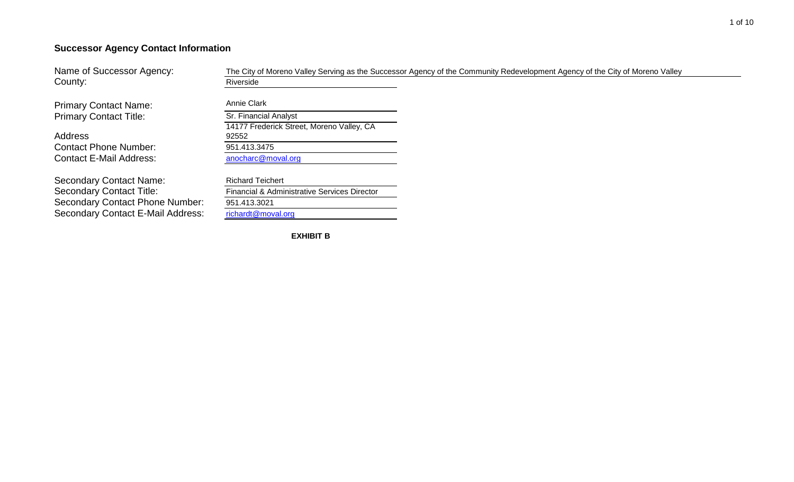# **Successor Agency Contact Information**

Name of Successor Agency: County: **County:** Riverside The City of Moreno Valley Serving as the Successor Agency of the Community Redevelopment Agency of the City of Moreno Valley

Primary Contact Name: Annie Clark Primary Contact Title: Sr. Financial Analyst

Address Contact Phone Number: 951.413.3475 Contact E-Mail Address: [anocharc@moval.org](mailto:anocharc@moval.org)

Secondary Contact Name: Richard Teichert Secondary Contact Title: Financial & Administrative Services Director Secondary Contact Phone Number: 951.413.3021 Secondary Contact E-Mail Address: [richardt@moval.org](mailto:richardt@moval.org)

14177 Frederick Street, Moreno Valley, CA 92552

**EXHIBIT B**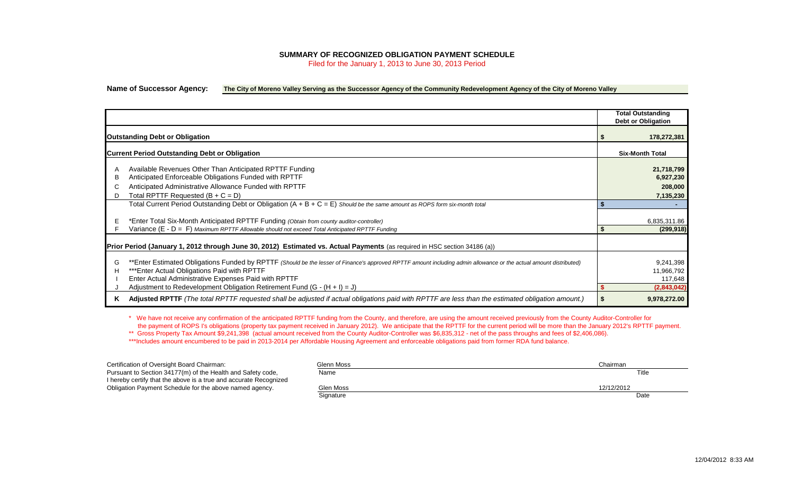## **SUMMARY OF RECOGNIZED OBLIGATION PAYMENT SCHEDULE**

Filed for the January 1, 2013 to June 30, 2013 Period

## **Name of Successor Agency: The City of Moreno Valley Serving as the Successor Agency of the Community Redevelopment Agency of the City of Moreno Valley**

|                                                                                                                                                                                                                                                                                                                                                                    | <b>Total Outstanding</b><br>Debt or Obligation    |
|--------------------------------------------------------------------------------------------------------------------------------------------------------------------------------------------------------------------------------------------------------------------------------------------------------------------------------------------------------------------|---------------------------------------------------|
| <b>Outstanding Debt or Obligation</b>                                                                                                                                                                                                                                                                                                                              | 178,272,381                                       |
| <b>Current Period Outstanding Debt or Obligation</b>                                                                                                                                                                                                                                                                                                               | <b>Six-Month Total</b>                            |
| Available Revenues Other Than Anticipated RPTTF Funding<br>Anticipated Enforceable Obligations Funded with RPTTF<br>в<br>Anticipated Administrative Allowance Funded with RPTTF<br>Total RPTTF Requested $(B + C = D)$<br>D                                                                                                                                        | 21,718,799<br>6,927,230<br>208,000<br>7,135,230   |
| Total Current Period Outstanding Debt or Obligation $(A + B + C = E)$ Should be the same amount as ROPS form six-month total                                                                                                                                                                                                                                       |                                                   |
| *Enter Total Six-Month Anticipated RPTTF Funding (Obtain from county auditor-controller)<br>Е<br>Variance $(E - D = F)$ Maximum RPTTF Allowable should not exceed Total Anticipated RPTTF Funding                                                                                                                                                                  | 6,835,311.86<br>(299, 918)                        |
| Prior Period (January 1, 2012 through June 30, 2012) Estimated vs. Actual Payments (as required in HSC section 34186 (a))                                                                                                                                                                                                                                          |                                                   |
| **Enter Estimated Obligations Funded by RPTTF (Should be the lesser of Finance's approved RPTTF amount including admin allowance or the actual amount distributed)<br>G<br>*** Enter Actual Obligations Paid with RPTTF<br>н<br>Enter Actual Administrative Expenses Paid with RPTTF<br>Adjustment to Redevelopment Obligation Retirement Fund $(G - (H + I) = J)$ | 9,241,398<br>11,966,792<br>117,648<br>(2,843,042) |
| Adjusted RPTTF (The total RPTTF requested shall be adjusted if actual obligations paid with RPTTF are less than the estimated obligation amount.)<br>ĸ                                                                                                                                                                                                             | 9,978,272.00<br>S.                                |

\* We have not receive any confirmation of the anticipated RPTTF funding from the County, and therefore, are using the amount received previously from the County Auditor-Controller for the payment of ROPS I's obligations (property tax payment received in January 2012). We anticipate that the RPTTF for the current period will be more than the January 2012's RPTTF payment.

\*\* Gross Property Tax Amount \$9,241,398 (actual amount received from the County Auditor-Controller was \$6,835,312 - net of the pass throughs and fees of \$2,406,086).

\*\*\*Includes amount encumbered to be paid in 2013-2014 per Affordable Housing Agreement and enforceable obligations paid from former RDA fund balance.

| Certification of Oversight Board Chairman:                        | Glenn Moss | Chairman   |
|-------------------------------------------------------------------|------------|------------|
| Pursuant to Section 34177(m) of the Health and Safety code,       | Name       | Title      |
| I hereby certify that the above is a true and accurate Recognized |            |            |
| Obligation Payment Schedule for the above named agency.           | Glen Moss  | 12/12/2012 |
|                                                                   | Signature  | Date       |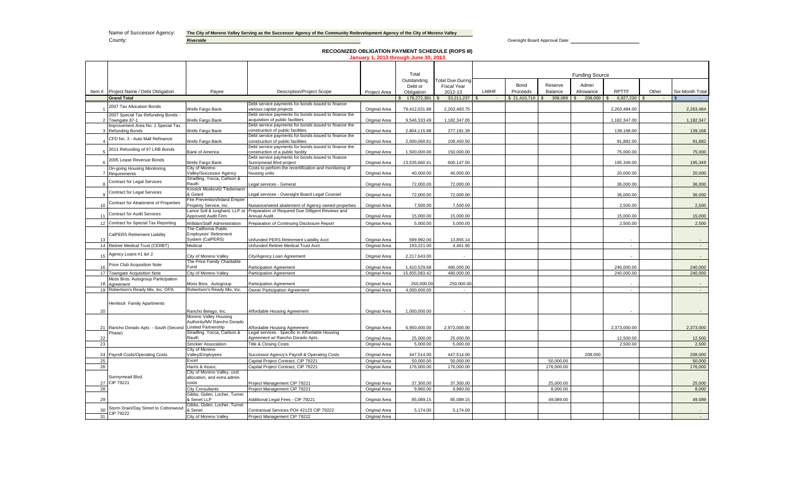Name of Successor Agency: The City of Moreno Valley Serving as the Successor Agency of the Community Redevelopment Agency of the City of Moreno Valley

County: **Riverside Riverside Riverside Riverside Riverside County: All and Approval Date: County: All and Approval Date: County: All and Approval Date: County: All and Approval Date: Riverside** County: **Riverside** 

**RECOGNIZED OBLIGATION PAYMENT SCHEDULE (ROPS III) January 1, 2013 through June 30, 2013**

|       |                                                                                                                                                                                                                                                                                                                                                                                                                                                                                                                                                                                                                                                                                                                                                                                                                                                                                                                                                                                                                                                                                                                                                                                                                                                                                                                                                                                                                                                                                                                                                                                                                                                                                                                                                                                                                                                                                                                                                                                                                                                                                                                                                                                                                                                                                                                                                                                                                                                                                                                                                                                                                                                                                                                                                                                                                                                                                                                                                                                                                                                                                                                                                                                                                                                                                                                                                                                                                                                                                                                                                                                                                                                                                                                                                                                                                                                                                                                                                                                                                                                                                                                                                                                                                                                                                                                                                                                                                                                                                                                                                                                                                                                                                                                                                                                                                                                                                                                                                                                                                                                                                                                                                                                                                                                                                                                                           |                                                                           |                                                                                                        |                                | Total                 |                               |       |              |            | <b>Funding Source</b> |              |       |                 |
|-------|-------------------------------------------------------------------------------------------------------------------------------------------------------------------------------------------------------------------------------------------------------------------------------------------------------------------------------------------------------------------------------------------------------------------------------------------------------------------------------------------------------------------------------------------------------------------------------------------------------------------------------------------------------------------------------------------------------------------------------------------------------------------------------------------------------------------------------------------------------------------------------------------------------------------------------------------------------------------------------------------------------------------------------------------------------------------------------------------------------------------------------------------------------------------------------------------------------------------------------------------------------------------------------------------------------------------------------------------------------------------------------------------------------------------------------------------------------------------------------------------------------------------------------------------------------------------------------------------------------------------------------------------------------------------------------------------------------------------------------------------------------------------------------------------------------------------------------------------------------------------------------------------------------------------------------------------------------------------------------------------------------------------------------------------------------------------------------------------------------------------------------------------------------------------------------------------------------------------------------------------------------------------------------------------------------------------------------------------------------------------------------------------------------------------------------------------------------------------------------------------------------------------------------------------------------------------------------------------------------------------------------------------------------------------------------------------------------------------------------------------------------------------------------------------------------------------------------------------------------------------------------------------------------------------------------------------------------------------------------------------------------------------------------------------------------------------------------------------------------------------------------------------------------------------------------------------------------------------------------------------------------------------------------------------------------------------------------------------------------------------------------------------------------------------------------------------------------------------------------------------------------------------------------------------------------------------------------------------------------------------------------------------------------------------------------------------------------------------------------------------------------------------------------------------------------------------------------------------------------------------------------------------------------------------------------------------------------------------------------------------------------------------------------------------------------------------------------------------------------------------------------------------------------------------------------------------------------------------------------------------------------------------------------------------------------------------------------------------------------------------------------------------------------------------------------------------------------------------------------------------------------------------------------------------------------------------------------------------------------------------------------------------------------------------------------------------------------------------------------------------------------------------------------------------------------------------------------------------------------------------------------------------------------------------------------------------------------------------------------------------------------------------------------------------------------------------------------------------------------------------------------------------------------------------------------------------------------------------------------------------------------------------------------------------------------------------------------------------|---------------------------------------------------------------------------|--------------------------------------------------------------------------------------------------------|--------------------------------|-----------------------|-------------------------------|-------|--------------|------------|-----------------------|--------------|-------|-----------------|
|       |                                                                                                                                                                                                                                                                                                                                                                                                                                                                                                                                                                                                                                                                                                                                                                                                                                                                                                                                                                                                                                                                                                                                                                                                                                                                                                                                                                                                                                                                                                                                                                                                                                                                                                                                                                                                                                                                                                                                                                                                                                                                                                                                                                                                                                                                                                                                                                                                                                                                                                                                                                                                                                                                                                                                                                                                                                                                                                                                                                                                                                                                                                                                                                                                                                                                                                                                                                                                                                                                                                                                                                                                                                                                                                                                                                                                                                                                                                                                                                                                                                                                                                                                                                                                                                                                                                                                                                                                                                                                                                                                                                                                                                                                                                                                                                                                                                                                                                                                                                                                                                                                                                                                                                                                                                                                                                                                           |                                                                           |                                                                                                        |                                | Outstanding           | <b>Total Due During</b>       |       | Bond         | Reserve    | Admin                 |              |       |                 |
| Item# | Project Name / Debt Obligation                                                                                                                                                                                                                                                                                                                                                                                                                                                                                                                                                                                                                                                                                                                                                                                                                                                                                                                                                                                                                                                                                                                                                                                                                                                                                                                                                                                                                                                                                                                                                                                                                                                                                                                                                                                                                                                                                                                                                                                                                                                                                                                                                                                                                                                                                                                                                                                                                                                                                                                                                                                                                                                                                                                                                                                                                                                                                                                                                                                                                                                                                                                                                                                                                                                                                                                                                                                                                                                                                                                                                                                                                                                                                                                                                                                                                                                                                                                                                                                                                                                                                                                                                                                                                                                                                                                                                                                                                                                                                                                                                                                                                                                                                                                                                                                                                                                                                                                                                                                                                                                                                                                                                                                                                                                                                                            | Payee                                                                     | <b>Description/Project Scope</b>                                                                       | Project Area                   | Debt or<br>Obligation | <b>Fiscal Year</b><br>2012-13 | LMIHF | Proceeds     | Balance    | Allowance             | <b>RPTTF</b> | Other | Six-Month Total |
|       | <b>Grand Total</b>                                                                                                                                                                                                                                                                                                                                                                                                                                                                                                                                                                                                                                                                                                                                                                                                                                                                                                                                                                                                                                                                                                                                                                                                                                                                                                                                                                                                                                                                                                                                                                                                                                                                                                                                                                                                                                                                                                                                                                                                                                                                                                                                                                                                                                                                                                                                                                                                                                                                                                                                                                                                                                                                                                                                                                                                                                                                                                                                                                                                                                                                                                                                                                                                                                                                                                                                                                                                                                                                                                                                                                                                                                                                                                                                                                                                                                                                                                                                                                                                                                                                                                                                                                                                                                                                                                                                                                                                                                                                                                                                                                                                                                                                                                                                                                                                                                                                                                                                                                                                                                                                                                                                                                                                                                                                                                                        |                                                                           |                                                                                                        |                                | 178,272,381 \$        |                               |       | \$21,410,710 | 308,089 \$ | 208,000               | 6.927.230    |       |                 |
|       | 2007 Tax Allocation Bonds                                                                                                                                                                                                                                                                                                                                                                                                                                                                                                                                                                                                                                                                                                                                                                                                                                                                                                                                                                                                                                                                                                                                                                                                                                                                                                                                                                                                                                                                                                                                                                                                                                                                                                                                                                                                                                                                                                                                                                                                                                                                                                                                                                                                                                                                                                                                                                                                                                                                                                                                                                                                                                                                                                                                                                                                                                                                                                                                                                                                                                                                                                                                                                                                                                                                                                                                                                                                                                                                                                                                                                                                                                                                                                                                                                                                                                                                                                                                                                                                                                                                                                                                                                                                                                                                                                                                                                                                                                                                                                                                                                                                                                                                                                                                                                                                                                                                                                                                                                                                                                                                                                                                                                                                                                                                                                                 |                                                                           | Debt service payments for bonds issued to finance                                                      |                                |                       |                               |       |              |            |                       |              |       |                 |
|       |                                                                                                                                                                                                                                                                                                                                                                                                                                                                                                                                                                                                                                                                                                                                                                                                                                                                                                                                                                                                                                                                                                                                                                                                                                                                                                                                                                                                                                                                                                                                                                                                                                                                                                                                                                                                                                                                                                                                                                                                                                                                                                                                                                                                                                                                                                                                                                                                                                                                                                                                                                                                                                                                                                                                                                                                                                                                                                                                                                                                                                                                                                                                                                                                                                                                                                                                                                                                                                                                                                                                                                                                                                                                                                                                                                                                                                                                                                                                                                                                                                                                                                                                                                                                                                                                                                                                                                                                                                                                                                                                                                                                                                                                                                                                                                                                                                                                                                                                                                                                                                                                                                                                                                                                                                                                                                                                           | Wells Fargo Bank                                                          | various capital projects                                                                               | Original Area                  | 79.412.021.88         | 2.263.483.75                  |       |              |            |                       | 2.263.484.00 |       | 2,263,484       |
|       | 2007 Special Tax Refunding Bonds -<br>2 Towngate 87-1                                                                                                                                                                                                                                                                                                                                                                                                                                                                                                                                                                                                                                                                                                                                                                                                                                                                                                                                                                                                                                                                                                                                                                                                                                                                                                                                                                                                                                                                                                                                                                                                                                                                                                                                                                                                                                                                                                                                                                                                                                                                                                                                                                                                                                                                                                                                                                                                                                                                                                                                                                                                                                                                                                                                                                                                                                                                                                                                                                                                                                                                                                                                                                                                                                                                                                                                                                                                                                                                                                                                                                                                                                                                                                                                                                                                                                                                                                                                                                                                                                                                                                                                                                                                                                                                                                                                                                                                                                                                                                                                                                                                                                                                                                                                                                                                                                                                                                                                                                                                                                                                                                                                                                                                                                                                                     | Wells Fargo Bank                                                          | Debt service payments for bonds issued to finance the<br>acquisition of public facilities              | Original Area                  | 9,546,333.49          | 1,182,347.05                  |       |              |            |                       | 1,182,347.00 |       | 1,182,347       |
|       | Improvement Area No. 1 Special Tax<br>Refunding Bonds                                                                                                                                                                                                                                                                                                                                                                                                                                                                                                                                                                                                                                                                                                                                                                                                                                                                                                                                                                                                                                                                                                                                                                                                                                                                                                                                                                                                                                                                                                                                                                                                                                                                                                                                                                                                                                                                                                                                                                                                                                                                                                                                                                                                                                                                                                                                                                                                                                                                                                                                                                                                                                                                                                                                                                                                                                                                                                                                                                                                                                                                                                                                                                                                                                                                                                                                                                                                                                                                                                                                                                                                                                                                                                                                                                                                                                                                                                                                                                                                                                                                                                                                                                                                                                                                                                                                                                                                                                                                                                                                                                                                                                                                                                                                                                                                                                                                                                                                                                                                                                                                                                                                                                                                                                                                                     | Wells Fargo Bank                                                          | Debt service payments for bonds issued to finance the<br>construction of public facilities             | Original Area                  | 2,804,115.88          | 277,181.39                    |       |              |            |                       | 139,168.00   |       | 139,168         |
|       | CFD No. 3 - Auto Mall Refinance                                                                                                                                                                                                                                                                                                                                                                                                                                                                                                                                                                                                                                                                                                                                                                                                                                                                                                                                                                                                                                                                                                                                                                                                                                                                                                                                                                                                                                                                                                                                                                                                                                                                                                                                                                                                                                                                                                                                                                                                                                                                                                                                                                                                                                                                                                                                                                                                                                                                                                                                                                                                                                                                                                                                                                                                                                                                                                                                                                                                                                                                                                                                                                                                                                                                                                                                                                                                                                                                                                                                                                                                                                                                                                                                                                                                                                                                                                                                                                                                                                                                                                                                                                                                                                                                                                                                                                                                                                                                                                                                                                                                                                                                                                                                                                                                                                                                                                                                                                                                                                                                                                                                                                                                                                                                                                           | Wells Fargo Bank                                                          | Debt service payments for bonds issued to finance the<br>construction of public facilities             | Original Area                  | 2,000,060.61          | 109,450.50                    |       |              |            |                       | 91,882.00    |       | 91,882          |
|       | 2011 Refunding of 97 LRB Bonds                                                                                                                                                                                                                                                                                                                                                                                                                                                                                                                                                                                                                                                                                                                                                                                                                                                                                                                                                                                                                                                                                                                                                                                                                                                                                                                                                                                                                                                                                                                                                                                                                                                                                                                                                                                                                                                                                                                                                                                                                                                                                                                                                                                                                                                                                                                                                                                                                                                                                                                                                                                                                                                                                                                                                                                                                                                                                                                                                                                                                                                                                                                                                                                                                                                                                                                                                                                                                                                                                                                                                                                                                                                                                                                                                                                                                                                                                                                                                                                                                                                                                                                                                                                                                                                                                                                                                                                                                                                                                                                                                                                                                                                                                                                                                                                                                                                                                                                                                                                                                                                                                                                                                                                                                                                                                                            | <b>Bank of America</b>                                                    | Debt service payments for bonds issued to finance the<br>construction of a public facility             | Original Area                  | 1,500,000.00          | 150,000.00                    |       |              |            |                       | 75,000.00    |       | 75,000          |
|       | 2005 Lease Revenue Bonds                                                                                                                                                                                                                                                                                                                                                                                                                                                                                                                                                                                                                                                                                                                                                                                                                                                                                                                                                                                                                                                                                                                                                                                                                                                                                                                                                                                                                                                                                                                                                                                                                                                                                                                                                                                                                                                                                                                                                                                                                                                                                                                                                                                                                                                                                                                                                                                                                                                                                                                                                                                                                                                                                                                                                                                                                                                                                                                                                                                                                                                                                                                                                                                                                                                                                                                                                                                                                                                                                                                                                                                                                                                                                                                                                                                                                                                                                                                                                                                                                                                                                                                                                                                                                                                                                                                                                                                                                                                                                                                                                                                                                                                                                                                                                                                                                                                                                                                                                                                                                                                                                                                                                                                                                                                                                                                  | Wells Fargo Bank                                                          | Debt service payments for bonds issued to finance<br>Sunnymead Blvd project                            | Original Area                  | 13,535,660.41         | 600,147.50                    |       |              |            |                       | 195,349.00   |       | 195,349         |
|       | On-going Housing Monitoring<br>7 Requirements                                                                                                                                                                                                                                                                                                                                                                                                                                                                                                                                                                                                                                                                                                                                                                                                                                                                                                                                                                                                                                                                                                                                                                                                                                                                                                                                                                                                                                                                                                                                                                                                                                                                                                                                                                                                                                                                                                                                                                                                                                                                                                                                                                                                                                                                                                                                                                                                                                                                                                                                                                                                                                                                                                                                                                                                                                                                                                                                                                                                                                                                                                                                                                                                                                                                                                                                                                                                                                                                                                                                                                                                                                                                                                                                                                                                                                                                                                                                                                                                                                                                                                                                                                                                                                                                                                                                                                                                                                                                                                                                                                                                                                                                                                                                                                                                                                                                                                                                                                                                                                                                                                                                                                                                                                                                                             | City of Moreno<br>Valley/Successor Agency                                 | Costs to perform the recertification and monitoring of<br>housing units                                | Original Area                  | 40,000.00             | 40,000.00                     |       |              |            |                       | 20,000.00    |       | 20,000          |
|       |                                                                                                                                                                                                                                                                                                                                                                                                                                                                                                                                                                                                                                                                                                                                                                                                                                                                                                                                                                                                                                                                                                                                                                                                                                                                                                                                                                                                                                                                                                                                                                                                                                                                                                                                                                                                                                                                                                                                                                                                                                                                                                                                                                                                                                                                                                                                                                                                                                                                                                                                                                                                                                                                                                                                                                                                                                                                                                                                                                                                                                                                                                                                                                                                                                                                                                                                                                                                                                                                                                                                                                                                                                                                                                                                                                                                                                                                                                                                                                                                                                                                                                                                                                                                                                                                                                                                                                                                                                                                                                                                                                                                                                                                                                                                                                                                                                                                                                                                                                                                                                                                                                                                                                                                                                                                                                                                           | Stradling, Yocca, Carlson &                                               |                                                                                                        |                                |                       |                               |       |              |            |                       |              |       |                 |
|       | <b>Contract for Legal Services</b>                                                                                                                                                                                                                                                                                                                                                                                                                                                                                                                                                                                                                                                                                                                                                                                                                                                                                                                                                                                                                                                                                                                                                                                                                                                                                                                                                                                                                                                                                                                                                                                                                                                                                                                                                                                                                                                                                                                                                                                                                                                                                                                                                                                                                                                                                                                                                                                                                                                                                                                                                                                                                                                                                                                                                                                                                                                                                                                                                                                                                                                                                                                                                                                                                                                                                                                                                                                                                                                                                                                                                                                                                                                                                                                                                                                                                                                                                                                                                                                                                                                                                                                                                                                                                                                                                                                                                                                                                                                                                                                                                                                                                                                                                                                                                                                                                                                                                                                                                                                                                                                                                                                                                                                                                                                                                                        | Rauth                                                                     | Legal services - General                                                                               | Original Area                  | 72,000.00             | 72,000.00                     |       |              |            |                       | 36,000.00    |       | 36,000          |
|       | Contract for Legal Services                                                                                                                                                                                                                                                                                                                                                                                                                                                                                                                                                                                                                                                                                                                                                                                                                                                                                                                                                                                                                                                                                                                                                                                                                                                                                                                                                                                                                                                                                                                                                                                                                                                                                                                                                                                                                                                                                                                                                                                                                                                                                                                                                                                                                                                                                                                                                                                                                                                                                                                                                                                                                                                                                                                                                                                                                                                                                                                                                                                                                                                                                                                                                                                                                                                                                                                                                                                                                                                                                                                                                                                                                                                                                                                                                                                                                                                                                                                                                                                                                                                                                                                                                                                                                                                                                                                                                                                                                                                                                                                                                                                                                                                                                                                                                                                                                                                                                                                                                                                                                                                                                                                                                                                                                                                                                                               | Kronick Moskovitz Tiedemann<br>Girard                                     | Legal services - Oversight Board Legal Counsel                                                         | Original Area                  | 72,000.00             | 72,000.00                     |       |              |            |                       | 36,000.00    |       | 36,000          |
| 10    | Contract for Abatement of Properties                                                                                                                                                                                                                                                                                                                                                                                                                                                                                                                                                                                                                                                                                                                                                                                                                                                                                                                                                                                                                                                                                                                                                                                                                                                                                                                                                                                                                                                                                                                                                                                                                                                                                                                                                                                                                                                                                                                                                                                                                                                                                                                                                                                                                                                                                                                                                                                                                                                                                                                                                                                                                                                                                                                                                                                                                                                                                                                                                                                                                                                                                                                                                                                                                                                                                                                                                                                                                                                                                                                                                                                                                                                                                                                                                                                                                                                                                                                                                                                                                                                                                                                                                                                                                                                                                                                                                                                                                                                                                                                                                                                                                                                                                                                                                                                                                                                                                                                                                                                                                                                                                                                                                                                                                                                                                                      | Fire Prevention/Inland Empire<br>Property Service, Inc.                   | Nuisance/weed abatement of Agency owned properties                                                     | Original Area                  | 7,500.00              | 7.500.00                      |       |              |            |                       | 2.500.00     |       | 2,500           |
| 11    | <b>Contract for Audit Services</b>                                                                                                                                                                                                                                                                                                                                                                                                                                                                                                                                                                                                                                                                                                                                                                                                                                                                                                                                                                                                                                                                                                                                                                                                                                                                                                                                                                                                                                                                                                                                                                                                                                                                                                                                                                                                                                                                                                                                                                                                                                                                                                                                                                                                                                                                                                                                                                                                                                                                                                                                                                                                                                                                                                                                                                                                                                                                                                                                                                                                                                                                                                                                                                                                                                                                                                                                                                                                                                                                                                                                                                                                                                                                                                                                                                                                                                                                                                                                                                                                                                                                                                                                                                                                                                                                                                                                                                                                                                                                                                                                                                                                                                                                                                                                                                                                                                                                                                                                                                                                                                                                                                                                                                                                                                                                                                        | Approved Audit Firm                                                       | Lance Soll & lunghard, LLP or Preparation of Required Due Dilligent Reviews and<br><b>Annual Audit</b> | Original Area                  | 15,000.00             | 15,000.00                     |       |              |            |                       | 15,000.00    |       | 15,000          |
|       | 12 Contract for Special Tax Reporting                                                                                                                                                                                                                                                                                                                                                                                                                                                                                                                                                                                                                                                                                                                                                                                                                                                                                                                                                                                                                                                                                                                                                                                                                                                                                                                                                                                                                                                                                                                                                                                                                                                                                                                                                                                                                                                                                                                                                                                                                                                                                                                                                                                                                                                                                                                                                                                                                                                                                                                                                                                                                                                                                                                                                                                                                                                                                                                                                                                                                                                                                                                                                                                                                                                                                                                                                                                                                                                                                                                                                                                                                                                                                                                                                                                                                                                                                                                                                                                                                                                                                                                                                                                                                                                                                                                                                                                                                                                                                                                                                                                                                                                                                                                                                                                                                                                                                                                                                                                                                                                                                                                                                                                                                                                                                                     | Willdan/Staff Administration                                              | Preparation of Continuing Disclosure Report                                                            | Original Area                  | 5,000.00              | 5.000.00                      |       |              |            |                       | 2.500.00     |       | 2,500           |
| 13    | CalPERS Retirement Liability                                                                                                                                                                                                                                                                                                                                                                                                                                                                                                                                                                                                                                                                                                                                                                                                                                                                                                                                                                                                                                                                                                                                                                                                                                                                                                                                                                                                                                                                                                                                                                                                                                                                                                                                                                                                                                                                                                                                                                                                                                                                                                                                                                                                                                                                                                                                                                                                                                                                                                                                                                                                                                                                                                                                                                                                                                                                                                                                                                                                                                                                                                                                                                                                                                                                                                                                                                                                                                                                                                                                                                                                                                                                                                                                                                                                                                                                                                                                                                                                                                                                                                                                                                                                                                                                                                                                                                                                                                                                                                                                                                                                                                                                                                                                                                                                                                                                                                                                                                                                                                                                                                                                                                                                                                                                                                              | The California Public<br><b>Employees' Retirement</b><br>System (CalPERS) | Unfunded PERS Retirement Liability Acct                                                                |                                | 599,992.00            | 13.855.14                     |       |              |            |                       |              |       |                 |
|       | 14 Retiree Medical Trust (CERBT)                                                                                                                                                                                                                                                                                                                                                                                                                                                                                                                                                                                                                                                                                                                                                                                                                                                                                                                                                                                                                                                                                                                                                                                                                                                                                                                                                                                                                                                                                                                                                                                                                                                                                                                                                                                                                                                                                                                                                                                                                                                                                                                                                                                                                                                                                                                                                                                                                                                                                                                                                                                                                                                                                                                                                                                                                                                                                                                                                                                                                                                                                                                                                                                                                                                                                                                                                                                                                                                                                                                                                                                                                                                                                                                                                                                                                                                                                                                                                                                                                                                                                                                                                                                                                                                                                                                                                                                                                                                                                                                                                                                                                                                                                                                                                                                                                                                                                                                                                                                                                                                                                                                                                                                                                                                                                                          | Medical                                                                   | Unfunded Retiree Medical Trust Acct                                                                    | Original Area<br>Original Area | 193.221.00            | 4.461.90                      |       |              |            |                       | $\sim$       |       | $\sim$          |
| 15    | Agency Loans #1 &# 2</td><td>City of Moreno Valley</td><td>City/Agency Loan Agreement</td><td>Original Area</td><td>2,217,643.00</td><td></td><td></td><td></td><td></td><td></td><td></td><td></td><td></td></tr><tr><td></td><td>Price Club Acquisition Note</td><td>The Price Family Charitable<br>Fund</td><td><b>Participation Agreement</b></td><td>Original Area</td><td>1.410.529.68</td><td>480.000.00</td><td></td><td></td><td></td><td></td><td>240.000.00</td><td></td><td>240,000</td></tr><tr><td></td><td>17 Towngate Acquisition Note</td><td>City of Moreno Valley</td><td><b>Participation Agreement</b></td><td>Original Area</td><td>15.655.083.42</td><td>480.000.00</td><td></td><td></td><td></td><td></td><td>240.000.00</td><td></td><td>240,000</td></tr><tr><td></td><td>Moss Bros. Autogroup Participation<br>18 Agreement</td><td>Moss Bros. Autogroup</td><td><b>Participation Agreement</b></td><td>Original Area</td><td>250,000.00</td><td>250,000.00</td><td></td><td></td><td></td><td></td><td></td><td></td><td></td></tr><tr><td></td><td>19 Robertson's Ready Mix, Inc. OPA</td><td>Robertson's Ready Mix, Inc.</td><td><b>Owner Participation Agreement</b></td><td>Original Area</td><td>4.000.000.00</td><td><math display="inline">\sim</math></td><td></td><td></td><td></td><td></td><td><math display="inline">\sim</math></td><td></td><td><math display="inline">\sim</math></td></tr><tr><td></td><td>Hemlock Family Apartments</td><td></td><td></td><td></td><td></td><td></td><td></td><td></td><td></td><td></td><td></td><td></td><td></td></tr><tr><td>20</td><td></td><td>Rancho Belago, Inc.</td><td>Affordable Housing Agreement</td><td>Original Area</td><td>1,000,000.00</td><td></td><td></td><td></td><td></td><td></td><td></td><td></td><td></td></tr><tr><td></td><td></td><td>Moreno Valley Housing<br>Authority/MV Rancho Dorado</td><td></td><td></td><td></td><td></td><td></td><td></td><td></td><td></td><td></td><td></td><td></td></tr><tr><td></td><td>21 Rancho Dorado Apts - South (Second<br>Phase)</td><td>Limited Partnership<br>Stradling, Yocca, Carlson &</td><td>Affordable Housing Agreement<br>Legal services - Specific to Affordable Housing</td><td>Original Area</td><td>6,950,000.00</td><td>2,973,000.00</td><td></td><td></td><td></td><td></td><td>2.373.000.00</td><td></td><td>2,373,000</td></tr><tr><td>22</td><td></td><td>Rauth</td><td>Agreement w/ Rancho Dorado Apts.</td><td>Original Area</td><td>25,000.00</td><td>25,000.00</td><td></td><td></td><td></td><td></td><td>12,500.00</td><td></td><td>12,500</td></tr><tr><td>23</td><td></td><td><b>Strickler Association</b></td><td><b>Title & Closing Costs</b></td><td>Original Area</td><td>5,000.00</td><td>5.000.00</td><td></td><td></td><td></td><td></td><td>2,500.00</td><td></td><td>2,500</td></tr><tr><td></td><td>24 Payroll Costs/Operating Costs</td><td>City of Moreno<br>Valley/Employees</td><td>Successor Agency's Payroll & Operating Costs</td><td>Original Area</td><td>447.514.00</td><td>447.514.00</td><td></td><td></td><td></td><td>208,000</td><td></td><td></td><td>208,000</td></tr><tr><td>25</td><td></td><td>Excel</td><td>Capital Project Contract, CIP 79221</td><td>Original Area</td><td>50.000.00</td><td>50.000.00</td><td></td><td></td><td>50,000.00</td><td></td><td></td><td></td><td>50,000</td></tr><tr><td>26</td><td></td><td>Harris & Assoc.</td><td>Capital Project Contract, CIP 79221</td><td>Original Area</td><td>176,000.00</td><td>176,000.00</td><td></td><td></td><td>176,000.00</td><td></td><td></td><td></td><td>176,000</td></tr><tr><td></td><td></td><td colspan=2>City of Moreno Valley, cost</td><td></td><td></td><td></td><td></td><td></td><td></td><td></td><td></td><td></td><td></td></tr><tr><td></td><td colspan=2>Sunnymead Blvd.<br>allocation, and extra admin.<br>27 CIP 79221</td><td>Project Management CIP 79221</td><td>Original Area</td><td>37,300.00</td><td>37,300.00</td><td></td><td></td><td>25.000.00</td><td></td><td></td><td></td><td>25,000</td></tr><tr><td>28</td><td colspan=2>costs<br><b>City Consultants</b></td><td>Project Management CIP 79221</td><td>Original Area</td><td>9.960.00</td><td>9.960.00</td><td></td><td></td><td>8.000.00</td><td></td><td></td><td></td><td>8.000</td></tr><tr><td></td><td></td><td>Gibbs, Giden, Locher, Turner</td><td></td><td></td><td></td><td></td><td></td><td></td><td></td><td></td><td></td><td></td><td></td></tr><tr><td>29</td><td></td><td>Senet LLP<br>Gibbs, Giden, Locher, Turner</td><td>Additional Legal Fees - CIP 79221</td><td>Original Area</td><td>85,089.15</td><td>85,089.15</td><td></td><td></td><td>49,089.00</td><td></td><td></td><td></td><td>49,089</td></tr><tr><td>30</td><td>Storm Drain/Day Street to Cottonwood<br>CIP 79222</td><td>& Senet</td><td>Contractual Services PO# 42123 CIP 79222</td><td>Original Area</td><td>5,174.00</td><td>5.174.00</td><td></td><td></td><td></td><td></td><td></td><td></td><td></td></tr><tr><td>31</td><td></td><td>City of Moreno Valley</td><td>Project Management CIP 79222</td><td>Original Area</td><td></td><td></td><td></td><td></td><td></td><td></td><td></td><td></td><td><math display="inline">\blacksquare</math></td></tr></tbody></table> |                                                                           |                                                                                                        |                                |                       |                               |       |              |            |                       |              |       |                 |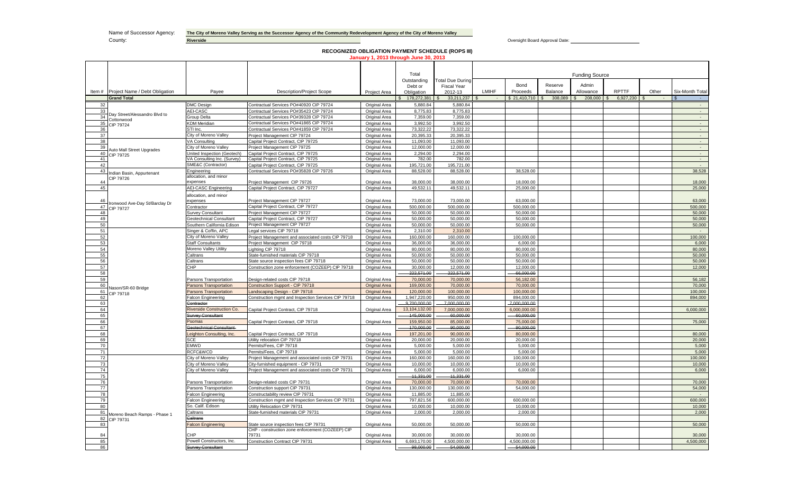Name of Successor Agency: The City of Moreno Valley Serving as the Successor Agency of the Community Redevelopment Agency of the City of Moreno Valley

**County: Riverside Riverside Riverside Riverside Riverside County: All and Approval Date: County:** Oversight Board Approval Date: <u>All and Approval Date:</u> **Riverside Riverside Riverside Riverside Riversid** 

# **RECOGNIZED OBLIGATION PAYMENT SCHEDULE (ROPS III) January 1, 2013 through June 30, 2013**

|          |                                                               |                                                  |                                                                                            |                                | Total                         |                              | <b>Funding Source</b> |                              |            |           |              |       |                  |  |  |
|----------|---------------------------------------------------------------|--------------------------------------------------|--------------------------------------------------------------------------------------------|--------------------------------|-------------------------------|------------------------------|-----------------------|------------------------------|------------|-----------|--------------|-------|------------------|--|--|
|          |                                                               |                                                  |                                                                                            |                                | Outstanding                   | <b>Total Due During</b>      |                       |                              |            |           |              |       |                  |  |  |
|          |                                                               |                                                  |                                                                                            |                                | Debt or                       | <b>Fiscal Year</b>           |                       | Bond                         | Reserve    | Admin     |              |       |                  |  |  |
|          | Item # Project Name / Debt Obligation                         | Pavee                                            | <b>Description/Project Scope</b>                                                           | Project Area                   | Obligation                    | 2012-13                      | LMIHF                 | Proceeds                     | Balance    | Allowance | <b>RPTTF</b> | Other | Six-Month Total  |  |  |
|          | <b>Grand Total</b>                                            |                                                  |                                                                                            |                                | $$178,272,381$ \\$            | $33,211,237$ \$              |                       |                              | 308,089 \$ | 208,000   | 6,927,230    |       |                  |  |  |
| 32       |                                                               | <b>DMC Design</b>                                | Contractual Services PO#40920 CIP 79724                                                    | Original Area                  | 5,880.84                      | 5,880.84                     |                       |                              |            |           |              |       |                  |  |  |
| 33       | Day Street/Alessandro Blvd to                                 | AEI-CASC<br>Group Delta                          | Contractual Services PO#35423 CIP 79724<br>Contractual Services PO#39328 CIP 79724         | Original Area                  | 8,775.83                      | 8,775.83                     |                       |                              |            |           |              |       |                  |  |  |
| 34<br>35 | Cottonwood                                                    | <b>KDM Meridian</b>                              | Contractual Services PO#41865 CIP 79724                                                    | Original Area<br>Original Area | 7,359.00<br>3,992.50          | 7,359.00<br>3.992.50         |                       |                              |            |           |              |       | $\sim$<br>$\sim$ |  |  |
| 36       | CIP 79724                                                     | STI Inc.                                         | Contractual Services PO#41859 CIP 79724                                                    | Original Area                  | 73.322.22                     | 73.322.22                    |                       |                              |            |           |              |       | $\mathcal{L}$    |  |  |
| 37       |                                                               | City of Moreno Valley                            | Project Management CIP 79724                                                               | Original Area                  | 20,395.33                     | 20.395.33                    |                       |                              |            |           |              |       | $\sim$           |  |  |
| 38       |                                                               | VA Consulting                                    | Capital Project Contract, CIP 79725                                                        | Original Area                  | 11.093.00                     | 11.093.00                    |                       |                              |            |           |              |       | $\sim$           |  |  |
| 39       |                                                               | City of Moreno Valley                            | Project Management CIP 79725                                                               | Original Area                  | 12.000.00                     | 12.000.00                    |                       |                              |            |           |              |       | $\mathcal{L}$    |  |  |
| 40       | uto Mall Street Upgrades<br>CIP 79725                         | United Inspection (Geotech)                      | Capital Project Contract, CIP 79725                                                        | Original Area                  | 2,294.00                      | 2,294.00                     |                       |                              |            |           |              |       | $\sim$           |  |  |
| 41       |                                                               | VA Consulting Inc. (Survey)                      | Capital Project Contract, CIP 79725                                                        | Original Area                  | 782.00                        | 782.00                       |                       |                              |            |           |              |       | $\sim 10^{-1}$   |  |  |
| 42       |                                                               | SME&C (Contractor)                               | Capital Project Contract, CIP 79725                                                        | Original Area                  | 195,721.00                    | 195,721.00                   |                       |                              |            |           |              |       | $\sim$           |  |  |
| 43       | ndian Basin, Appurtenant                                      | Engineering                                      | Contractual Services PO#35828 CIP 79726                                                    | Original Area                  | 88,528.00                     | 88,528.00                    |                       | 38,528.00                    |            |           |              |       | 38,528           |  |  |
| 44       | <b>IP 79726</b>                                               | allocation, and minor                            |                                                                                            |                                |                               |                              |                       |                              |            |           |              |       |                  |  |  |
| 45       |                                                               | expenses<br><b>AEI-CASC Engineering</b>          | Project Management CIP 79726<br>Capital Project Contract, CIP 79727                        | Original Area<br>Original Area | 38,000.00<br>49.532.11        | 38,000.00<br>49.532.11       |                       | 18,000.00<br>25,000.00       |            |           |              |       | 18,000<br>25,000 |  |  |
|          |                                                               |                                                  |                                                                                            |                                |                               |                              |                       |                              |            |           |              |       |                  |  |  |
| 46       |                                                               | allocation, and minor<br>expenses                | Project Management CIP 79727                                                               | Original Area                  | 73.000.00                     | 73.000.00                    |                       | 63,000.00                    |            |           |              |       | 63,000           |  |  |
| 47       | onwood Ave-Day St/Barclay Dr                                  | Contractor                                       | Capital Project Contract, CIP 79727                                                        | Original Area                  | 500,000.00                    | 500.000.00                   |                       | 500.000.00                   |            |           |              |       | 500,000          |  |  |
| 48       | CIP 79727                                                     | <b>Survey Consultant</b>                         | Project Management CIP 79727                                                               | Original Area                  | 50.000.00                     | 50.000.00                    |                       | 50.000.00                    |            |           |              |       | 50,000           |  |  |
| 49       |                                                               | Geotechnical Consultant                          | Capital Project Contract, CIP 79727                                                        | Original Area                  | 50,000.00                     | 50,000.00                    |                       | 50,000.00                    |            |           |              |       | 50,000           |  |  |
| 50       |                                                               | Southern California Edison                       | Project Management CIP 79727                                                               | Original Area                  | 50.000.00                     | 50.000.00                    |                       | 50.000.00                    |            |           |              |       | 50,000           |  |  |
| 51       |                                                               | Singer & Coffin, APC<br>Legal services CIP 79718 |                                                                                            | Original Area                  | 2,310.00                      | 2,310.00                     |                       |                              |            |           |              |       | $\sim$           |  |  |
| 52       |                                                               | City of Moreno Valley                            | Project Management and associated costs CIP 79718                                          | Original Area                  | 160,000.00                    | 160,000.00                   |                       | 100,000.00                   |            |           |              |       | 100,000          |  |  |
| 53       |                                                               | <b>Staff Consultants</b>                         | Project Management CIP 79718                                                               | Original Area                  | 36,000.00                     | 36,000.00                    |                       | 6,000.00                     |            |           |              |       | 6,000            |  |  |
| 54       |                                                               | Moreno Valley Utility                            | Lighting CIP 79718                                                                         | Original Area                  | 80.000.00                     | 80.000.00                    |                       | 80.000.00                    |            |           |              |       | 80,000           |  |  |
| 55       |                                                               | Caltrans                                         | State-furnished materials CIP 79718                                                        | Original Area                  | 50.000.00                     | 50.000.00                    |                       | 50.000.00                    |            |           |              |       | 50,000           |  |  |
|          | 56                                                            | Caltrans                                         | State source inspection fees CIP 79718                                                     | Original Area                  | 50.000.00                     | 50.000.00                    |                       | 50.000.00                    |            |           |              |       | 50,000           |  |  |
| 57       |                                                               | CHP                                              | Construction zone enforcement (COZEEP) CIP 79718                                           | Original Area                  | 30.000.00                     | 12.000.00                    |                       | 12.000.00                    |            |           |              |       | 12.000           |  |  |
| 58       |                                                               |                                                  |                                                                                            |                                | 222,571.00                    | 222,571.00                   |                       | -66,000.00                   |            |           |              |       |                  |  |  |
| 59       |                                                               | Parsons Transportation                           | Design-related costs CIP 79718                                                             | Original Area                  | 70,000,00                     | 70,000.00                    |                       | 56.182.00                    |            |           |              |       | 56.182           |  |  |
| 60       | Jason/SR-60 Bridge                                            | Parsons Transportation                           | Construction Support - CIP 79718                                                           | <b>Original Area</b>           | 169,000.00                    | 70,000.00                    |                       | 70,000.00                    |            |           |              |       | 70,000           |  |  |
| 61       | <b>IP 79718</b>                                               | Parsons Transportation                           | Landscaping Design - CIP 79718                                                             | <b>Original Area</b>           | 120,000.00                    | 100,000.00                   |                       | 100,000.00                   |            |           |              |       | 100,000          |  |  |
| 62       |                                                               | Falcon Engineering<br>Contractor                 | Construction mgmt and Inspection Services CIP 79718                                        | Original Area                  | 1,947,220.00                  | 950,000.00                   |                       | 894,000.00                   |            |           |              |       | 894,000          |  |  |
| 63<br>64 |                                                               | Riverside Construction Co.                       | Capital Project Contract, CIP 79718                                                        | Original Area                  | 9,700,000.00<br>13,104,132.00 | 7,000,000.00<br>7,000,000.00 |                       | 7,000,000.00<br>6,000,000.00 |            |           |              |       | 6,000,000        |  |  |
| 65       |                                                               | Survey Consultant                                |                                                                                            |                                | 445,000.00                    | 60,000.00                    |                       | $-60,000.00$                 |            |           |              |       |                  |  |  |
| 66       |                                                               | Psomas                                           | Capital Project Contract, CIP 79718                                                        | Original Area                  | 159,950.00                    | 85,000.00                    |                       | 75,000.00                    |            |           |              |       | 75,000           |  |  |
| 67       |                                                               | Geotechnical Consultant-                         |                                                                                            |                                | 470.000.00                    | 90.000.00                    |                       | 90.000.00                    |            |           |              |       |                  |  |  |
| 68       |                                                               | eighton Consulting, Inc.                         | Capital Project Contract, CIP 79718                                                        | Original Area                  | 197,201.00                    | 90.000.00                    |                       | 80.000.00                    |            |           |              |       | 80,000           |  |  |
| 69       |                                                               | SCE                                              | Utility relocation CIP 79718                                                               | Original Area                  | 20,000.00                     | 20,000.00                    |                       | 20.000.00                    |            |           |              |       | 20,000           |  |  |
| 70       |                                                               | EMWD                                             | Permits/Fees, CIP 79718                                                                    | Original Area                  | 5.000.00                      | 5.000.00                     |                       | 5.000.00                     |            |           |              |       | 5.000            |  |  |
| 71       |                                                               | RCFC&WCD                                         | Permits/Fees, CIP 79718                                                                    | Original Area                  | 5.000.00                      | 5,000.00                     |                       | 5.000.00                     |            |           |              |       | 5,000            |  |  |
| 72       |                                                               | City of Moreno Valley                            | Project Management and associated costs CIP 79731                                          | Original Area                  | 160,000.00                    | 160,000.00                   |                       | 100,000.00                   |            |           |              |       | 100,000          |  |  |
| 73       |                                                               | City of Moreno Valley                            | City-furnished equipment - CIP 79731                                                       | Original Area                  | 10.000.00                     | 10.000.00                    |                       | 10.000.00                    |            |           |              |       | 10,000           |  |  |
| 74       |                                                               | City of Moreno Valley                            | Project Management and associated costs CIP 79731                                          | Original Area                  | 6,000.00                      | 6,000.00                     |                       | 6,000.00                     |            |           |              |       | 6,000            |  |  |
| 75       |                                                               |                                                  |                                                                                            |                                | 41.331.00                     | 41.331.00                    |                       |                              |            |           |              |       |                  |  |  |
| 76       |                                                               | Parsons Transportation                           | Design-related costs CIP 79731                                                             | Original Area                  | 70,000.00                     | 70,000.00                    |                       | 70,000.00                    |            |           |              |       | 70,000           |  |  |
| 77       |                                                               | Parsons Transportation                           | Construction support CIP 79731                                                             | Original Area                  | 130,000.00                    | 130,000.00                   |                       | 54,000.00                    |            |           |              |       | 54,000           |  |  |
| 78       |                                                               | <b>Falcon Engineering</b>                        | Constructability review CIP 79731                                                          | Original Area                  | 11,885.00                     | 11.885.00                    |                       |                              |            |           |              |       | - 1              |  |  |
| 79       |                                                               | <b>Falcon Engineering</b>                        | Construction mgmt and Inspection Services CIP 79731                                        | Original Area                  | 797.821.56                    | 600.000.00                   |                       | 600.000.00                   |            |           |              |       | 600.000          |  |  |
| 80       | So. Calif. Edison<br>Caltrans<br>Moreno Beach Ramps - Phase 1 |                                                  | Utility Relocation CIP 79731                                                               | Original Area                  | 10.000.00                     | 10.000.00                    |                       | 10.000.00                    |            |           |              |       | 10,000           |  |  |
| 81       |                                                               |                                                  | State-furnished materials CIP 79731                                                        | Original Area                  | 2.000.00                      | 2.000.00                     |                       | 2.000.00                     |            |           |              |       | 2,000            |  |  |
|          | 82 CIP 79731                                                  | Caltrans                                         |                                                                                            |                                |                               |                              |                       |                              |            |           |              |       |                  |  |  |
|          | 83<br>alcon Engineering                                       |                                                  | State source inspection fees CIP 79731<br>CHP - construction zone enforcement (COZEEP) CIP | Original Area                  | 50,000.00                     | 50,000.00                    |                       | 50,000.00                    |            |           |              |       | 50,000           |  |  |
| 84       |                                                               | CHP                                              | 79731                                                                                      | Original Area                  | 30.000.00                     | 30.000.00                    |                       | 30.000.00                    |            |           |              |       | 30,000           |  |  |
| 85       |                                                               | Powell Constructors, Inc.                        | Construction Contract CIP 79731                                                            | Original Area                  | 6,693,170.00                  | 4,500,000.00                 |                       | 4,500,000.00                 |            |           |              |       | 4.500.000        |  |  |
| 86       |                                                               | Survey Consultant                                |                                                                                            |                                | 98.000.00                     | 54.000.00                    |                       | 54.000.00                    |            |           |              |       |                  |  |  |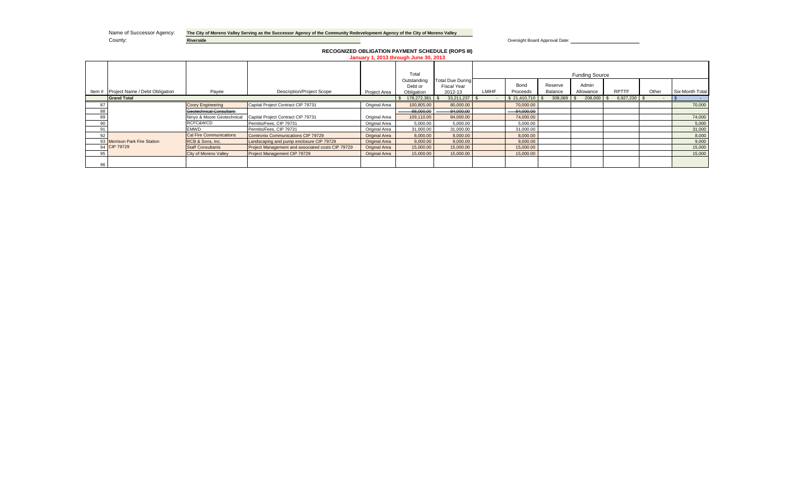|        | Name of Successor Agency:<br>County: | <b>Riverside</b>           | The City of Moreno Valley Serving as the Successor Agency of the Community Redevelopment Agency of the City of Moreno Valley |                      |                                       | Oversight Board Approval Date:  |              |              |                 |                       |                |        |                  |  |  |  |
|--------|--------------------------------------|----------------------------|------------------------------------------------------------------------------------------------------------------------------|----------------------|---------------------------------------|---------------------------------|--------------|--------------|-----------------|-----------------------|----------------|--------|------------------|--|--|--|
|        |                                      |                            | <b>RECOGNIZED OBLIGATION PAYMENT SCHEDULE (ROPS III)</b>                                                                     |                      | January 1, 2013 through June 30, 2013 |                                 |              |              |                 |                       |                |        |                  |  |  |  |
|        |                                      |                            |                                                                                                                              |                      | Total                                 |                                 |              |              |                 | <b>Funding Source</b> |                |        |                  |  |  |  |
|        |                                      |                            |                                                                                                                              |                      | Outstanding<br>Debt or                | Total Due During<br>Fiscal Year |              | Bond         | Reserve         | Admin                 |                |        |                  |  |  |  |
| Item # | Project Name / Debt Obligation       | Payee                      | <b>Description/Project Scope</b>                                                                                             | Project Area         | Obligation                            | 2012-13                         | <b>LMIHF</b> | Proceeds     | Balance         | Allowance             | <b>RPTTF</b>   | Other  | Six-Month Total  |  |  |  |
|        | <b>Grand Total</b>                   |                            |                                                                                                                              |                      | 178,272,381                           | $33,211,237$ \$                 |              | \$21,410,710 | 308,089<br>- 35 | 208,000 \$            | $6,927,230$ \$ | $\sim$ | $\sim$ 100 $\mu$ |  |  |  |
| 87     |                                      | <b>Coory Engineering</b>   | Capital Project Contract CIP 79731                                                                                           | Original Area        | 100,805.00                            | 80,000.00                       |              | 70,000.00    |                 |                       |                |        | 70,000           |  |  |  |
| 88     |                                      | Geotechnical Consultant-   |                                                                                                                              |                      | 88,000.00                             | 84,000.00                       |              | 84,000.00    |                 |                       |                |        |                  |  |  |  |
| 89     |                                      | Ninyo & Moore Geotechnical | Capital Project Contract CIP 79731                                                                                           | Original Area        | 109,110.00                            | 84,000.00                       |              | 74,000.00    |                 |                       |                |        | 74,000           |  |  |  |
| 90     |                                      | RCFC&WCD                   | Permits/Fees, CIP 79731                                                                                                      | Original Area        | 5,000.00                              | 5,000.00                        |              | 5,000.00     |                 |                       |                |        | 5,000            |  |  |  |
| 91     |                                      | <b>EMWD</b>                | Permits/Fees, CIP 79731                                                                                                      | Original Area        | 31,000.00                             | 31,000.00                       |              | 31,000.00    |                 |                       |                |        | 31,000           |  |  |  |
| 92     |                                      | Cal Fire Communications    | Comtronix Communications CIP 79729                                                                                           | <b>Original Area</b> | 8,000.00                              | 8,000.00                        |              | 8,000.00     |                 |                       |                |        | 8,000            |  |  |  |
|        | 93 Morrison Park Fire Station        | RCB & Sons, Inc.           | Landscaping and pump enclosure CIP 79729                                                                                     | <b>Original Area</b> | 9,000.00                              | 9,000.00                        |              | 9,000.00     |                 |                       |                |        | 9,000            |  |  |  |
|        | 94 CIP 79729                         | <b>Staff Consultants</b>   | Project Management and associated costs CIP 79729                                                                            | <b>Original Area</b> | 15,000.00                             | 15,000.00                       |              | 15,000.00    |                 |                       |                |        | 15,000           |  |  |  |
| 95     |                                      | City of Moreno Valley      | Project Management CIP 79729                                                                                                 | <b>Original Area</b> | 15,000.00                             | 15,000.00                       |              | 15,000.00    |                 |                       |                |        | 15,000           |  |  |  |
| 96     |                                      |                            |                                                                                                                              |                      |                                       |                                 |              |              |                 |                       |                |        |                  |  |  |  |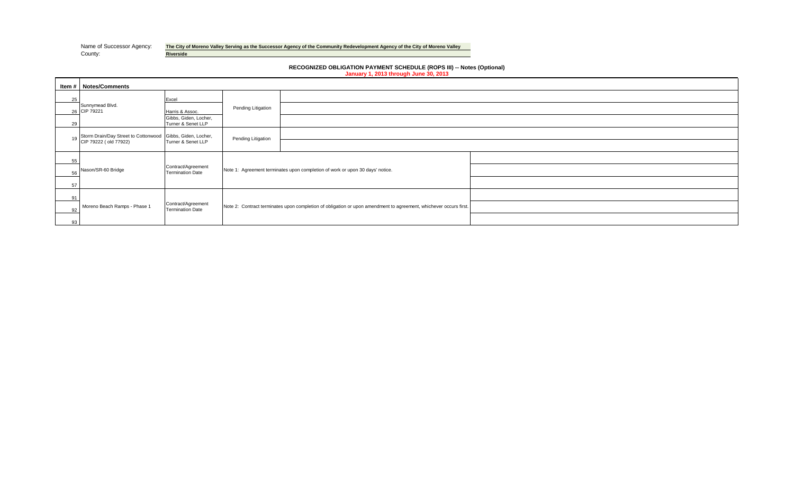Name of Successor Agency: **The City of Moreno Valley Serving as the Successor Agency of the Community Redevelopment Agency of the City of Moreno Valley Riverside** 

> **RECOGNIZED OBLIGATION PAYMENT SCHEDULE (ROPS III) -- Notes (Optional) January 1, 2013 through June 30, 2013**

|    | <b>Item #   Notes/Comments</b>                                                                         |                                               |                    |                                                                                                                   |  |
|----|--------------------------------------------------------------------------------------------------------|-----------------------------------------------|--------------------|-------------------------------------------------------------------------------------------------------------------|--|
| 25 |                                                                                                        | Excel                                         |                    |                                                                                                                   |  |
|    | Sunnymead Blvd.<br>26 CIP 79221                                                                        | Harris & Assoc.                               | Pending Litigation |                                                                                                                   |  |
| 29 |                                                                                                        | Gibbs, Giden, Locher,<br>Turner & Senet LLP   |                    |                                                                                                                   |  |
| 19 | Storm Drain/Day Street to Cottonwood Gibbs, Giden, Locher,<br>CIP 79222 (old 77922) Turner & Senet LLP |                                               | Pending Litigation |                                                                                                                   |  |
|    |                                                                                                        |                                               |                    |                                                                                                                   |  |
| 55 |                                                                                                        |                                               |                    |                                                                                                                   |  |
| 56 | Nason/SR-60 Bridge                                                                                     | Contract/Agreement<br><b>Termination Date</b> |                    | Note 1: Agreement terminates upon completion of work or upon 30 days' notice.                                     |  |
| 57 |                                                                                                        |                                               |                    |                                                                                                                   |  |
| 91 |                                                                                                        |                                               |                    |                                                                                                                   |  |
| 92 | Moreno Beach Ramps - Phase 1                                                                           | Contract/Agreement<br><b>Termination Date</b> |                    | Note 2: Contract terminates upon completion of obligation or upon amendment to agreement, whichever occurs first. |  |
| 93 |                                                                                                        |                                               |                    |                                                                                                                   |  |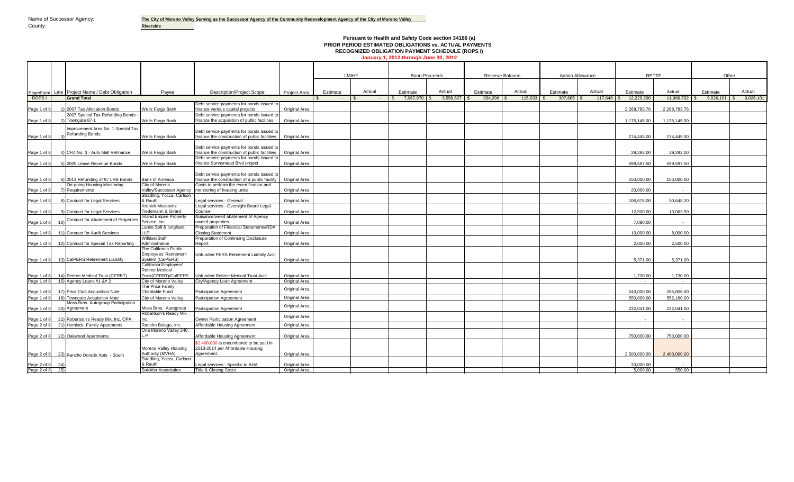Page 1 of

Page/Form

Page 1 of

Page 1 of

#### **Pursuant to Health and Safety Code section 34186 (a) PRIOR PERIOD ESTIMATED OBLIGATIONS vs. ACTUAL PAYMENTS RECOGNIZED OBLIGATION PAYMENT SCHEDULE (ROPS I) January 1, 2012 through June 30, 2012**

Line Project Name / Debt Obligation | Payee | Description/Project Scope | Project Area | Estimate | Actual | Estimate | Actual | Estimate | Actual | Estimate | Actual | Estimate | Actual | Estimate | Actual | Estimate | Es ROPS I \$ - \$ - \$ 7,067,970 \$ 3,556,627 \$ 394,296 \$ 115,033 \$ 307,665 \$ 117,648 \$ 12,229,290 11,966,792 \$ 9,026,101 \$ 9,026,101 Page 1 of 8 1) 2007 Tax Allocation Bonds Wells Fargo Bank Debt service payments for bonds issued to finance various capital projects Original Area 2,268,783.76 2,268,783.76 2007 Special Tax Refunding Bonds<br>Towngate 87-1 Wells Fargo Bank Debt service payments for bonds issued to finance the acquisition of public facilities **Original Area** 1,175,145.00 1,175,145.00 1,175,145.00 1,175,145.00 Improvement Area No. 1 Special Tax Refunding Bonds Wells Fargo Bank Debt service payments for bonds issued to finance the construction of public facilities  $\begin{vmatrix} 274,445.00 \end{vmatrix}$  274,445.00 274,445.00 Page 1 of 8 4) CFD No. 3 - Auto Mall Refinance Wells Fargo Bank Debt service payments for bonds issued to finance the construction of public facilities **original Area 20,292.00** 29,292.00 29,292.00 29,292.00 29,292.00 29,292.00 29,292.00 29,292.00 29,292.00 29,292.00 29,292.00 29,292.00 29,292.00 29,292.00 29,292.00 29,292.00 Page 1 of 8 5) 2005 Lease Revenue Bonds Wells Fargo Bank Debt service payments for bonds issued to inance Sunnymead Blvd project | Original Area | China | China | China | China | China | S99,597.50 599,597.50 599,597.50 599,597.50 Page 1 of 8 6) 2011 Refunding of 97 LRB Bonds Bank of America Debt service payments for bonds issued t inance the construction of a public facility original Area 2000 150,000.00 150,000.00 150,000.00 150,000.00 150,000.00 150,000.00 150,000 150,000 150,000 150,000 150,000 150,000 150,000 150,000 150,000 150,000 150,000 150, On-going Housing Monitoring Requirements City of Moreno Valley/Successor Agency Costs to perform the recertification and monitoring of housing units Original Area 20,000.00 - Page 1 of 8 8) Contract for Legal Services Stradling, Yocca, Carlson<br>& Rauth & Rauth Legal services - General Original Area 106,678.00 50,648.20 Page 1 of 8 9) Contract for Legal Services Kronick Moskovitz **Tiedemann & Girard**<br>**Inland Empire Property** Legal services - Oversight Board Legal<br>Counsel Counsel Original Area 12,500.00 13,063.50 Page 1 of 8 10) Contract for Abatement of Properties Service, Inc. Nuisance/weed abatement of Agency owned properties Original Area 7,090.00 - Page 1 of 8 11) Contract for Audit Services Lance Soll & lunghard, LLP Preparation of Financial Statements/RDA<br>Closing Statement Closing Statement Original Area 10,000.00 8,000.00 Page 1 of 8 12) Contract for Special Tax Reporting Willdan/Staff Administration Preparation of Continuing Disclosure Report Original Area 2,000.00 2,500.00 Page 1 of 8 13) CalPERS Retirement Liability The California Public Employees' Retirement System (CalPERS) Unfunded PERS Retirement Liability Acct Original Area 5,371.00 5,371.00 Page 1 of 8 14) Retiree Medical Trust (CERBT)<br>Page 1 of 8 15) Agency Loans #1 &# 2 California Employers' Retiree Medical Trust(CERBT)/CalPERS Unfunded Retiree Medical Trust Acct Original Area 1,730.00 1,730.00 1,730.00 1,730.00 1,730.00 1,730.00 1,730.00 1,730.00 1,730.00 1,730.00 1,730.00 1,730.00 1,730.00 1,730.00 1,730.00 1,730.00 1,730.0 Page 1 of 8 15) Agency Loans #1 &# 2 City of Moreno Valley City/Agency Loan Agreement Original Area - - Page 1 of 8 17) Price Club Acquisition Note<br>Page 1 of 8 18) Towngate Acquisition Note The Price Family The Fuite Fund The Participation Agreement Charitable Fund<br>City of Moreno Valley Participation Agreement City Original Area 240,000.00 265,806.00<br>550.000.00 552.160.00 Page 1 of 8 18) Towngate Acquisition Note City of Moreno Valley Participation Agreement Original Area 550,000.00 552,160.00 Page 1 of 8 20 Moss Bros. Autogroup Participation<br>Agreement Moss Bros. Autogroup Participation Agreement Portugal Area 232,041.00 232,041.00 Page 1 of 8 21) Robertson's Ready Mix, Inc. OPA Robertson's Ready Mix, Inc. Owner Participation Agreement Original Area - - - - - - - - - - - - - -Page 2 of 8 21) Hemlock Family Apartments Rancho Belago, Inc. Affordable Housing Agreement | Original Area | - - | - - | - - | - - | - - | - - | - - | - - | - - | - - | - - | - - | - - | - - | - - | - - | - - | - - | - - | Page 2 of 8 22) Oakwood Apartments One Moreno Valley 240<br>U. B L.P. Affordable Housing Agreement Original Area 750,000.00 750,000.00 Page 2 of 8 23) Moreno Valley Housing Authority (MVHA) Affordable Housing Agreement \$2,400,000 is encumbered to be paid in 2013-2014 per Affordable Housing Agreement. Original Area 2,500,000.00 2,400,000.00 Page 2 of 8 24)<br>Page 2 of 8 25 Stradling, Yocca, Carlson<br>& Rauth & Rauth Legal services - Specific to AHA Original Area 30,000 - 2014 - 2014 10:00 - 2014 10:00 - 2014 10:00 - 2014 10:00 - 2014 10:00 - 2014 10:00 - 2014 10:00 - 2014 10:00 - 2014 10:00 - 2014 10:00 - 2014 10:00 - 2014 10: **Grand Total** LMIHF Bond Proceeds Reserve Balance Rancho Dorado Apts - South Admin Allowance **National REPTTF RPTTF Cther** Project Area

Page 2 of 8 25) Strickler Association Title & Closing Costs (Priginal Area 5,000.00 550.00 550.00 550.00 550.00 550.00 550.00 550.00 550.00 550.00 550.00 550.00 550.00 550.00 550.00 550.00 550.00 550.00 550.00 550.00 550.0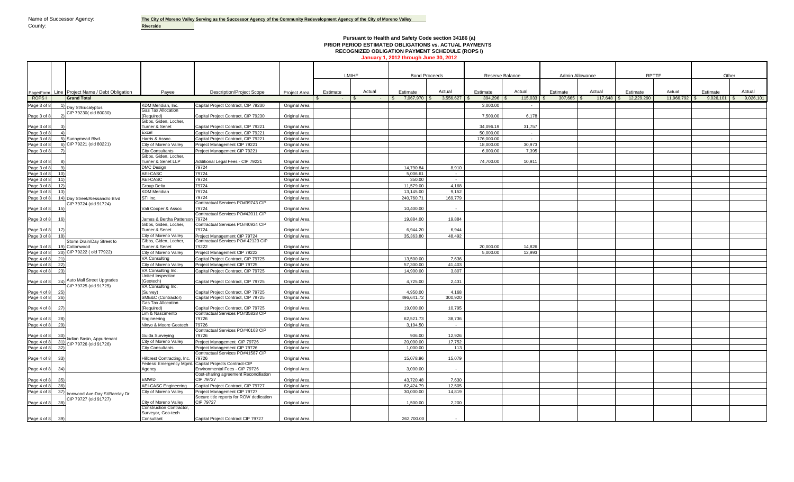# **Pursuant to Health and Safety Code section 34186 (a) PRIOR PERIOD ESTIMATED OBLIGATIONS vs. ACTUAL PAYMENTS RECOGNIZED OBLIGATION PAYMENT SCHEDULE (ROPS I) January 1, 2012 through June 30, 2012**

|                                       |                                                        |                                                        |                                                                         |                                       |          | LMIHF  | <b>Bond Proceeds</b> |                | Reserve Balance |              | Admin Allowance |              | <b>RPTTF</b> |            |                       | Other     |
|---------------------------------------|--------------------------------------------------------|--------------------------------------------------------|-------------------------------------------------------------------------|---------------------------------------|----------|--------|----------------------|----------------|-----------------|--------------|-----------------|--------------|--------------|------------|-----------------------|-----------|
|                                       |                                                        |                                                        |                                                                         |                                       |          |        |                      |                |                 |              |                 |              |              |            |                       |           |
|                                       |                                                        |                                                        |                                                                         |                                       |          |        |                      |                |                 |              |                 |              |              |            |                       |           |
|                                       | Page/Form Line Project Name / Debt Obligation          | Pavee                                                  | <b>Description/Project Scope</b>                                        | <b>Project Area</b>                   | Estimate | Actual | Estimate             | Actual         | Estimate        | Actual       | Estimate        | Actual       | Estimate     | Actual     | Estimate              | Actual    |
| ROPS I                                | <b>Grand Total</b>                                     |                                                        |                                                                         |                                       |          |        | 7,067,970 \$<br>- \$ | $3,556,627$ \$ | $394,296$ \$    | $115,033$ \$ | $307,665$ \$    | $117,648$ \$ | 12,229,290   | 11,966,792 | $9,026,101$ \$<br>IS. | 9,026,101 |
| Page 3 of 8                           | Day St/Eucalyptus                                      | KDM Meridian, Inc.                                     | Capital Project Contract, CIP 79230                                     | <b>Original Area</b>                  |          |        |                      |                | 3.000.00        |              |                 |              |              |            |                       |           |
|                                       | CIP 79230(old 80030)                                   | <b>Gas Tax Allocation</b><br>(Reauired)                |                                                                         |                                       |          |        |                      |                |                 |              |                 |              |              |            |                       |           |
| Page 3 of 8                           |                                                        | Gibbs, Giden, Locher,                                  | Capital Project Contract, CIP 79230                                     | <b>Original Area</b>                  |          |        |                      |                | 7.500.00        | 6.178        |                 |              |              |            |                       |           |
| Page 3 of                             |                                                        | Turner & Senet                                         | Capital Project Contract, CIP 79221                                     | Original Area                         |          |        |                      |                | 34.096.19       | 31.757       |                 |              |              |            |                       |           |
| Page 3 of 8<br>$\boldsymbol{\Lambda}$ |                                                        | Excel                                                  | Capital Project Contract, CIP 79221                                     | Original Area                         |          |        |                      |                | 50.000.00       | $\sim$       |                 |              |              |            |                       |           |
| Page 3 of 8                           | 5) Sunnymead Blvd.                                     | Harris & Assoc.                                        | Capital Project Contract, CIP 79221                                     | <b>Original Area</b>                  |          |        |                      |                | 176,000.00      | $\sim$       |                 |              |              |            |                       |           |
| Page 3 of 8                           | $6)$ CIP 79221 (old 80221)                             | City of Moreno Valley                                  | Project Management CIP 79221                                            | Original Area                         |          |        |                      |                | 18,000.00       | 30,973       |                 |              |              |            |                       |           |
| Page 3 of 8                           |                                                        | <b>City Consultants</b>                                | Project Management CIP 79221                                            | <b>Original Area</b>                  |          |        |                      |                | 6.000.00        | 7.395        |                 |              |              |            |                       |           |
| Page 3 of                             |                                                        | Gibbs, Giden, Locher,<br><b>Turner &amp; Senet LLP</b> | Additional Legal Fees - CIP 79221                                       | Original Area                         |          |        |                      |                | 74.700.00       | 10.911       |                 |              |              |            |                       |           |
| Page 3 of<br>9)                       |                                                        | <b>DMC Design</b>                                      | 79724                                                                   | Original Area                         |          |        | 14.790.84            | 8.910          |                 |              |                 |              |              |            |                       |           |
| Page 3 of 8<br>10)                    |                                                        | AEI-CASC                                               | 79724                                                                   | Original Area                         |          |        | 5.006.61             | $\sim$         |                 |              |                 |              |              |            |                       |           |
| Page 3 of<br>11)                      |                                                        | <b>AEI-CASC</b>                                        | 79724                                                                   | <b>Original Area</b>                  |          |        | 350.00               | $\sim$ $\sim$  |                 |              |                 |              |              |            |                       |           |
| Page 3 of<br>12)                      |                                                        | Group Delta                                            | 79724                                                                   | <b>Original Area</b>                  |          |        | 11.579.00            | 4.168          |                 |              |                 |              |              |            |                       |           |
| Page 3 of<br>13)                      |                                                        | <b>KDM</b> Meridian                                    | 79724                                                                   | Original Area                         |          |        | 13.145.00            | 9.152          |                 |              |                 |              |              |            |                       |           |
| Page 3 of 8                           | 14) Day Street/Alessandro Blvd                         | STI Inc.                                               | 79724                                                                   | Original Area                         |          |        | 240,760.71           | 169.779        |                 |              |                 |              |              |            |                       |           |
|                                       | CIP 79724 (old 91724)                                  |                                                        | Contractual Services PO#39743 CIP                                       |                                       |          |        |                      |                |                 |              |                 |              |              |            |                       |           |
| Page 3 of 8                           |                                                        | Vali Cooper & Assoc                                    | 79724<br>Contractual Services PO#42011 CIP                              | Original Area                         |          |        | 10.400.00            |                |                 |              |                 |              |              |            |                       |           |
| Page 3 of 8<br>16                     |                                                        | James & Bertha Patterson                               | 79724                                                                   | Original Area                         |          |        | 19.884.00            | 19.884         |                 |              |                 |              |              |            |                       |           |
|                                       |                                                        | Gibbs, Giden, Locher,                                  | Contractual Services PO#40924 CIP                                       |                                       |          |        |                      |                |                 |              |                 |              |              |            |                       |           |
| Page 3 of 8                           |                                                        | Turner & Senet                                         | 79724                                                                   | Original Area                         |          |        | 6,944.20             | 6.944          |                 |              |                 |              |              |            |                       |           |
| Page 3 of 8<br>18                     |                                                        | City of Moreno Valley                                  | Project Management CIP 79724                                            | Original Area                         |          |        | 35,363.80            | 48,492         |                 |              |                 |              |              |            |                       |           |
|                                       | Storm Drain/Day Street to                              | Gibbs, Giden, Locher,<br>Turner & Senet                | Contractual Services PO# 42123 CIP<br>79222                             |                                       |          |        |                      |                | 20,000.00       | 14,826       |                 |              |              |            |                       |           |
| Page 3 of 8<br>Page 3 of 8            | 19) Cottonwood<br>20) CIP 79222 (old 77922)            | City of Moreno Valley                                  | Project Management CIP 79222                                            | Original Area<br><b>Original Area</b> |          |        |                      |                | 5.000.00        | 12.993       |                 |              |              |            |                       |           |
| Page 4 of 8<br>21)                    |                                                        | VA Consulting                                          | Capital Project Contract, CIP 79725                                     | <b>Original Area</b>                  |          |        | 13,500.00            | 7.636          |                 |              |                 |              |              |            |                       |           |
| Page 4 of 8<br>22)                    |                                                        | City of Moreno Valley                                  | Project Management CIP 79725                                            | <b>Original Area</b>                  |          |        | 57,300.00            | 41.403         |                 |              |                 |              |              |            |                       |           |
| Page 4 of 8<br>23)                    |                                                        | VA Consulting Inc.                                     | Capital Project Contract, CIP 79725                                     | <b>Original Area</b>                  |          |        | 14,900.00            | 3,807          |                 |              |                 |              |              |            |                       |           |
|                                       |                                                        | United Inspection                                      |                                                                         |                                       |          |        |                      |                |                 |              |                 |              |              |            |                       |           |
| Page 4 of 8                           | 24) Auto Mall Street Upgrades<br>CIP 79725 (old 91725) | (Geotech)                                              | Capital Project Contract, CIP 79725                                     | Original Area                         |          |        | 4,725.00             | 2.431          |                 |              |                 |              |              |            |                       |           |
| Page 4 of 8<br>25                     |                                                        | VA Consulting Inc.<br>Survev)                          | Capital Proiect Contract. CIP 79725                                     | <b>Original Area</b>                  |          |        | 4.950.00             | 4.168          |                 |              |                 |              |              |            |                       |           |
| Page 4 of 8<br>26)                    |                                                        | ME&C (Contractor)                                      | Capital Project Contract, CIP 79725                                     | Original Area                         |          |        | 496,641.72           | 300,920        |                 |              |                 |              |              |            |                       |           |
|                                       |                                                        | <b>Gas Tax Allocation</b>                              |                                                                         |                                       |          |        |                      |                |                 |              |                 |              |              |            |                       |           |
| Page 4 of<br>27                       |                                                        | (Reauired)                                             | Capital Project Contract, CIP 79725                                     | <b>Original Area</b>                  |          |        | 19,000.00            | 10,795         |                 |              |                 |              |              |            |                       |           |
| Page 4 of 8<br>28)                    |                                                        | Lim & Nascimento<br><b>Engineering</b>                 | Contractual Services PO#35828 CIP<br>79726                              | Original Area                         |          |        | 62.521.73            | 38.736         |                 |              |                 |              |              |            |                       |           |
| Page 4 of 8<br>29)                    |                                                        | Ninyo & Moore Geotech                                  | 79726                                                                   | Original Area                         |          |        | 3.194.50             | $\sim$         |                 |              |                 |              |              |            |                       |           |
|                                       |                                                        |                                                        | Contractual Services PO#40163 CIP                                       |                                       |          |        |                      |                |                 |              |                 |              |              |            |                       |           |
| Page 4 of 8                           | Indian Basin, Appurtenant                              | Guida Surveying                                        | 79726                                                                   | <b>Original Area</b>                  |          |        | 906.00               | 12.926         |                 |              |                 |              |              |            |                       |           |
| 31)<br>Page 4 of 8                    | CIP 79726 (old 91726)                                  | City of Moreno Valley                                  | Project Management CIP 79726                                            | <b>Original Area</b>                  |          |        | 20.000.00            | 17,752         |                 |              |                 |              |              |            |                       |           |
| 32<br>Page 4 of 8                     |                                                        | City Consultants                                       | Project Management CIP 79726                                            | Original Area                         |          |        | 1.000.00             | 113            |                 |              |                 |              |              |            |                       |           |
|                                       |                                                        |                                                        | Contractual Services PO#41587 CIP                                       |                                       |          |        |                      |                |                 |              |                 |              |              |            |                       |           |
| Page 4 of 8<br>33                     |                                                        | Hillcrest Contracting, Inc.                            | 79726<br>Federal Emergency Mgmt. Capital Projects Contract-CIP          | Original Area                         |          |        | 15,078.96            | 15,079         |                 |              |                 |              |              |            |                       |           |
| 34<br>Page 4 of                       |                                                        | Agency                                                 | Environmental Fees - CIP 79726                                          | Original Area                         |          |        | 3,000.00             |                |                 |              |                 |              |              |            |                       |           |
|                                       |                                                        |                                                        | Cost-sharing agreement Reconciliation                                   |                                       |          |        |                      |                |                 |              |                 |              |              |            |                       |           |
| Page 4 of 8<br>35)                    |                                                        | EMWD                                                   | CIP 79727                                                               | Original Area                         |          |        | 43,720.48            | 7.630          |                 |              |                 |              |              |            |                       |           |
| Page 4 of 8<br>36)                    |                                                        | <b>AEI-CASC Engineering</b>                            | Capital Project Contract, CIP 79727                                     | Original Area                         |          |        | 62.424.79            | 12.505         |                 |              |                 |              |              |            |                       |           |
| Page 4 of 8<br>37)                    | Ironwood Ave-Day St/Barclay Dr                         | City of Moreno Valley                                  | Project Management CIP 79727<br>Secure title reports for ROW dedication | Original Area                         |          |        | 30,000.00            | 14.819         |                 |              |                 |              |              |            |                       |           |
| Page 4 of 8<br>38                     | CIP 79727 (old 91727)                                  | City of Moreno Valley                                  | <b>CIP 79727</b>                                                        | Original Area                         |          |        | 1.500.00             | 2.200          |                 |              |                 |              |              |            |                       |           |
|                                       |                                                        | <b>Construction Contractor</b>                         |                                                                         |                                       |          |        |                      |                |                 |              |                 |              |              |            |                       |           |
|                                       |                                                        | Surveyor, Geo-tech                                     |                                                                         |                                       |          |        |                      |                |                 |              |                 |              |              |            |                       |           |
| Page 4 of 8<br>39)                    |                                                        | Consultant                                             | Capital Project Contract CIP 79727                                      | Original Area                         |          |        | 262.700.00           |                |                 |              |                 |              |              |            |                       |           |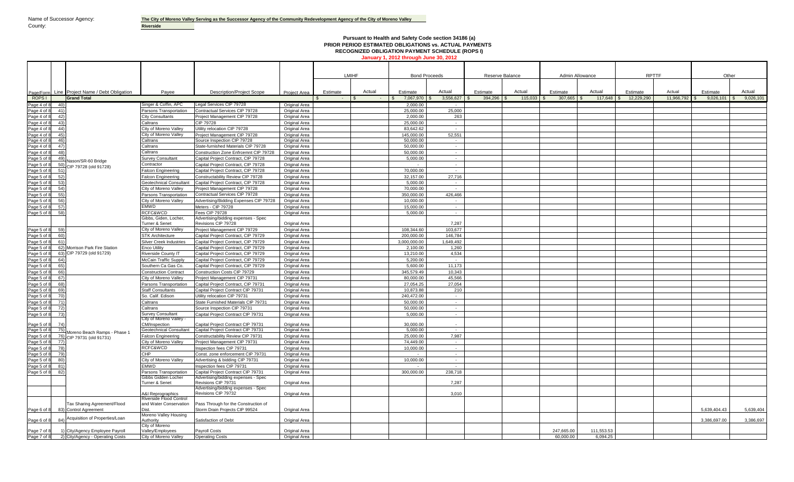# **Pursuant to Health and Safety Code section 34186 (a) PRIOR PERIOD ESTIMATED OBLIGATIONS vs. ACTUAL PAYMENTS RECOGNIZED OBLIGATION PAYMENT SCHEDULE (ROPS I) January 1, 2012 through June 30, 2012**

|                                             |                                                           |                                                    |                                                                        |                                       | LMIHF    |            | <b>Bond Proceeds</b>  |                  | Reserve Balance |              | Admin Allowance |              | <b>RPTTF</b> |            | Other        |                  |
|---------------------------------------------|-----------------------------------------------------------|----------------------------------------------------|------------------------------------------------------------------------|---------------------------------------|----------|------------|-----------------------|------------------|-----------------|--------------|-----------------|--------------|--------------|------------|--------------|------------------|
| Page/Form                                   | Line Project Name / Debt Obligation                       | Pavee                                              | <b>Description/Project Scope</b>                                       | Project Area                          | Estimate | Actual     | Estimate              | Actual           | Estimate        | Actual       | Estimate        | Actual       | Estimate     | Actual     | Estimate     | Actual           |
| ROPS I                                      | <b>Grand Total</b>                                        |                                                    |                                                                        |                                       |          | $\sim$ $-$ | 7,067,970<br>∣\$      | $3,556,627$ \$   | $394,296$ \$    | $115,033$ \$ | $307,665$ \$    | $117,648$ \$ | 12,229,290   | 11,966,792 | 9,026,101    | 9,026,101<br>IS. |
| Page 4 of 8<br>40                           |                                                           | Singer & Coffin, APC                               | Legal Services CIP 79728                                               | Original Area                         |          |            | 2.000.00              |                  |                 |              |                 |              |              |            |              |                  |
| Page 4 of 8<br>41)                          |                                                           | Parsons Transportation                             | Contractual Services CIP 79728                                         | Original Area                         |          |            | 25,000.00<br>2.000.00 | 25,000           |                 |              |                 |              |              |            |              |                  |
| Page 4 of 8<br>42)<br>43)                   |                                                           | City Consultants<br>altrans                        | Project Management CIP 79728<br><b>CIP 79728</b>                       | <b>Original Area</b><br>Original Area |          |            | 25.000.00             | 263              |                 |              |                 |              |              |            |              |                  |
| Page 4 of 8<br>Page 4 of 8<br>44)           |                                                           | City of Moreno Valley                              | Utility relocation CIP 79728                                           | Original Area                         |          |            | 83,642.62             | $\sim$<br>$\sim$ |                 |              |                 |              |              |            |              |                  |
| Page 4 of<br>45)                            |                                                           | City of Moreno Valley                              | Project Management CIP 79728                                           | Original Area                         |          |            | 145,000.00            | 52,551           |                 |              |                 |              |              |            |              |                  |
| Page 4 of<br>46)                            |                                                           | altrans:                                           | Source Inspection CIP 79728                                            | Original Area                         |          |            | 50,000.00             |                  |                 |              |                 |              |              |            |              |                  |
| 47)<br>Page 4 of 8                          |                                                           | Caltrans                                           | State-furnished Materials CIP 79728                                    | Original Area                         |          |            | 50.000.00             | $\sim$ $-$       |                 |              |                 |              |              |            |              |                  |
| Page 4 of 8<br>48)                          |                                                           | Caltrans                                           | Construction Zone Enfrcemnt CIP 79728                                  | Original Area                         |          |            | 50.000.00             | $\sim$           |                 |              |                 |              |              |            |              |                  |
| Page 5 of<br>49)                            |                                                           | <b>Survey Consultant</b>                           | Capital Project Contract, CIP 79728                                    | Original Area                         |          |            | 5,000.00              | $\sim$           |                 |              |                 |              |              |            |              |                  |
| Page 5 of 8<br>50)                          | Nason/SR-60 Bridge<br>CIP 79728 (old 91728)               | Contracto                                          | Capital Project Contract, CIP 79728                                    | Original Area                         |          |            |                       | $\sim$           |                 |              |                 |              |              |            |              |                  |
| Page 5 of 8<br>51)                          |                                                           | alcon Engineering                                  | Capital Project Contract, CIP 79728                                    | Original Area                         |          |            | 70,000.00             | $\sim$           |                 |              |                 |              |              |            |              |                  |
| Page 5 of 8<br>52)                          |                                                           | alcon Engineering                                  | Constructability Review CIP 79728                                      | Original Area                         |          |            | 32,157.00             | 27,716           |                 |              |                 |              |              |            |              |                  |
| 53)<br>Page 5 of                            |                                                           | Geotechnical Consultant                            | Capital Project Contract, CIP 79728                                    | Original Area                         |          |            | 5.000.00              | $\sim$           |                 |              |                 |              |              |            |              |                  |
| Page 5 of<br>54)                            |                                                           | City of Moreno Valley                              | Project Management CIP 79728                                           | Original Area                         |          |            | 70,000.00             | $\sim$           |                 |              |                 |              |              |            |              |                  |
| Page 5 of 8<br>55)                          |                                                           | Parsons Transportation                             | Contractual Services CIP 79728                                         | Original Area                         |          |            | 350,000,00            | 426,466          |                 |              |                 |              |              |            |              |                  |
| Page 5 of<br>56)                            |                                                           | City of Moreno Valley                              | Advertising/Bidding Expenses CIP 79728                                 | <b>Original Area</b>                  |          |            | 10.000.00             | $\sim$           |                 |              |                 |              |              |            |              |                  |
| 57)<br>Page 5 of                            |                                                           | <b>EMWD</b>                                        | Meters - CIP 79728                                                     | Original Area                         |          |            | 15.000.00             | $\sim$           |                 |              |                 |              |              |            |              |                  |
| 58)<br>Page 5 of 8                          |                                                           | <b>RCFC&amp;WCD</b>                                | <b>Fees CIP 79728</b>                                                  | Original Area                         |          |            | 5,000.00              | $\sim$           |                 |              |                 |              |              |            |              |                  |
|                                             |                                                           | Gibbs, Giden, Locher,<br><b>Turner &amp; Senet</b> | Advertising/bidding expenses - Spec<br>Revisions CIP 79728             | <b>Original Area</b>                  |          |            |                       | 7.287            |                 |              |                 |              |              |            |              |                  |
| Page 5 of<br>59                             |                                                           | City of Moreno Valley                              | Project Management CIP 79729                                           | <b>Original Area</b>                  |          |            | 108,344.60            | 103,677          |                 |              |                 |              |              |            |              |                  |
| Page 5 of 8<br>60)                          |                                                           | <b>STK Architecture</b>                            | Capital Project Contract, CIP 79729                                    | Original Area                         |          |            | 200.000.00            | 146.784          |                 |              |                 |              |              |            |              |                  |
| Page 5 of<br>61)                            |                                                           | ilver Creek Industries                             | Capital Project Contract, CIP 79729                                    | Original Area                         |          |            | 3.000.000.00          | 1,649,492        |                 |              |                 |              |              |            |              |                  |
| Page 5 of                                   | 62) Morrison Park Fire Station                            | nco Utility                                        | Capital Project Contract, CIP 79729                                    | Original Area                         |          |            | 2.100.00              | 1.260            |                 |              |                 |              |              |            |              |                  |
| Page 5 of 8                                 | 63) CIP 79729 (old 91729)                                 | Riverside County IT                                | Capital Project Contract, CIP 79729                                    | Original Area                         |          |            | 13,210.00             | 4,534            |                 |              |                 |              |              |            |              |                  |
| Page 5 of<br>64                             |                                                           | <b>AcCain Traffic Supply</b>                       | Capital Project Contract, CIP 79729                                    | <b>Original Area</b>                  |          |            | 5,200.00              | $\sim$           |                 |              |                 |              |              |            |              |                  |
| Page 5 of 8<br>65)                          |                                                           | Southern Ca Gas Co.                                | Capital Project Contract, CIP 79729                                    | Original Area                         |          |            | 5.600.00              | 11.173           |                 |              |                 |              |              |            |              |                  |
| Page 5 of<br>66)                            |                                                           | Construction Contract                              | Construction Costs CIP 79729                                           | <b>Original Area</b>                  |          |            | 345.579.49            | 10.343           |                 |              |                 |              |              |            |              |                  |
| Page 5 of<br>67)                            |                                                           | City of Moreno Valley                              | Project Management CIP 79731                                           | Original Area                         |          |            | 80,000.00             | 45,566           |                 |              |                 |              |              |            |              |                  |
| Page 5 of 8<br>68)                          |                                                           | Parsons Transportation                             | Capital Project Contract, CIP 79731                                    | Original Area                         |          |            | 27,054.25             | 27.054           |                 |              |                 |              |              |            |              |                  |
| Page 5 of<br>69)                            |                                                           | taff Consultants                                   | Capital Project Contract CIP 79731                                     | <b>Original Area</b>                  |          |            | 10.873.88             | 210              |                 |              |                 |              |              |            |              |                  |
| Page 5 of<br>70                             |                                                           | b. Calif. Edison                                   | Utility relocation CIP 79731                                           | Original Area                         |          |            | 240,472.00            | $\sim$           |                 |              |                 |              |              |            |              |                  |
| Page 5 of 8<br>71)                          |                                                           | altrans                                            | State Furnished Materials CIP 79731                                    | Original Area                         |          |            | 50,000.00             | $\sim$           |                 |              |                 |              |              |            |              |                  |
| Page 5 of 8<br>72)                          |                                                           | Caltrans                                           | Source Inspection CIP 79731                                            | <b>Original Area</b>                  |          |            | 50,000.00             | $\sim$           |                 |              |                 |              |              |            |              |                  |
| 73)<br>Page 5 of 8                          |                                                           | Survey Consultant<br>City of Moreno Valley         | Capital Project Contract CIP 79731                                     | Original Area                         |          |            | 5.000.00              | $\sim$           |                 |              |                 |              |              |            |              |                  |
| Page 5 of<br>74)                            |                                                           | CM/Inspection                                      | Capital Project Contract CIP 79731                                     | Original Area                         |          |            | 30,000,00             |                  |                 |              |                 |              |              |            |              |                  |
| Page 5 of 8<br>75                           |                                                           | <b>Seotechnical Consultant</b>                     | Capital Project Contract CIP 79731                                     | Original Area                         |          |            | 5,000.00              | $\sim$           |                 |              |                 |              |              |            |              |                  |
| Page 5 of 8                                 | Moreno Beach Ramps - Phase 1<br>76) CIP 79731 (old 91731) | alcon Engineering                                  | Constructability Review CIP 79731                                      | Original Area                         |          |            | 25.000.00             | 7.987            |                 |              |                 |              |              |            |              |                  |
| Page 5 of 8<br>77)                          |                                                           | City of Moreno Valley                              | Project Management CIP 79731                                           | Original Area                         |          |            | 74.449.00             |                  |                 |              |                 |              |              |            |              |                  |
| Page 5 of 8<br>78                           |                                                           | <b>CFC&amp;WCD</b>                                 | Inspection fees CIP 79731                                              | Original Area                         |          |            | 10,000.00             | $\sim$           |                 |              |                 |              |              |            |              |                  |
| Page 5 of 8<br>79)                          |                                                           | CHP                                                | Const. zone enforcement CIP 79731                                      | <b>Original Area</b>                  |          |            |                       | $\sim 10^{-1}$   |                 |              |                 |              |              |            |              |                  |
| Page 5 of<br>80)                            |                                                           | City of Moreno Valley                              | Advertising & bidding CIP 79731                                        | Original Area                         |          |            | 10,000.00             | $\sim$           |                 |              |                 |              |              |            |              |                  |
| Page 5 of<br>81)                            |                                                           | <b>EMWD</b>                                        | Inspection fees CIP 79731                                              | Original Area                         |          |            |                       | $\sim$           |                 |              |                 |              |              |            |              |                  |
| Page 5 of<br>82                             |                                                           | Parsons Transportation                             | Capital Project Contract CIP 79731                                     | <b>Original Area</b>                  |          |            | 300,000.00            | 238,718          |                 |              |                 |              |              |            |              |                  |
|                                             |                                                           | Gibbs Gidden Locher                                | Advertising/bidding expenses - Spec                                    |                                       |          |            |                       |                  |                 |              |                 |              |              |            |              |                  |
|                                             |                                                           | <b>Turner &amp; Senet</b>                          | Revisions CIP 79731<br>Advertising/bidding expenses - Spec             | <b>Original Area</b>                  |          |            |                       | 7.287            |                 |              |                 |              |              |            |              |                  |
|                                             |                                                           | A&I Reprographics<br>Riverside Flood Control       | Revisions CIP 79732                                                    | Original Area                         |          |            |                       | 3,010            |                 |              |                 |              |              |            |              |                  |
| Page 6 of 8                                 | Tax Sharing Agreement/Flood<br>83) Control Agreement      | and Water Conservation<br>Dist.                    | Pass Through for the Construction of<br>Storm Drain Projects CIP 99524 | Original Area                         |          |            |                       |                  |                 |              |                 |              |              |            | 5,639,404.43 | 5,639,404        |
| Page 6 of 8<br>$\mathsf{R}\mathsf{\Lambda}$ | Acquisition of Properties/Loan                            | Moreno Valley Housing<br>Authority                 | Satisfaction of Debt                                                   | Original Area                         |          |            |                       |                  |                 |              |                 |              |              |            | 3.386.697.00 | 3,386,697        |
|                                             | 1) City/Agency Employee Payroll                           | City of Moreno<br>Valley/Employees                 | <b>Payroll Costs</b>                                                   | Original Area                         |          |            |                       |                  |                 |              | 247.665.00      | 111.553.53   |              |            |              |                  |
| Page 7 of<br>Page 7 of 8                    | 2) City/Agency - Operating Costs                          | City of Moreno Valley                              | <b>Operating Costs</b>                                                 | Original Area                         |          |            |                       |                  |                 |              | 60,000.00       | 6,094.25     |              |            |              |                  |
|                                             |                                                           |                                                    |                                                                        |                                       |          |            |                       |                  |                 |              |                 |              |              |            |              |                  |

┑